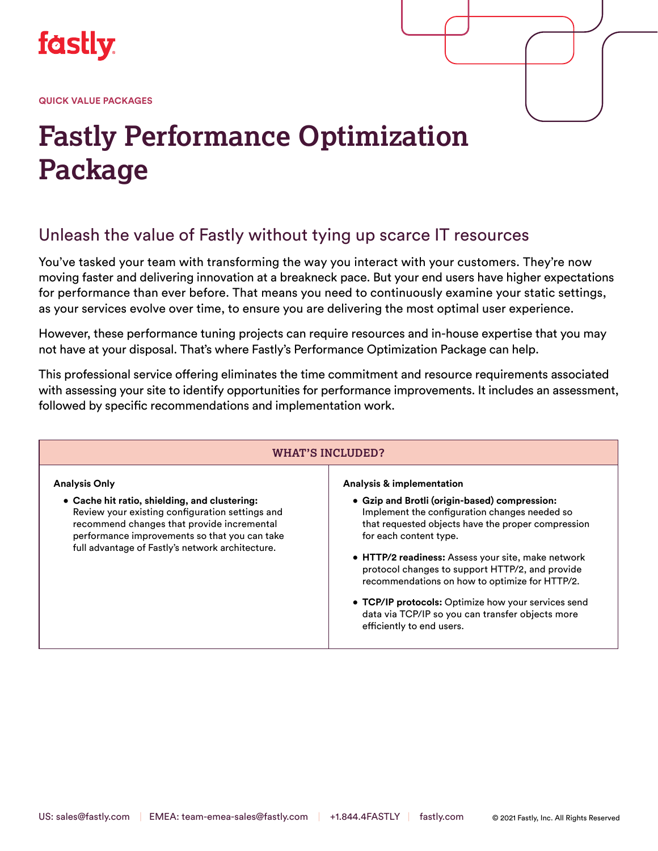

**QUICK VALUE PACKAGES**

# **Fastly Performance Optimization Package**

## Unleash the value of Fastly without tying up scarce IT resources

You've tasked your team with transforming the way you interact with your customers. They're now moving faster and delivering innovation at a breakneck pace. But your end users have higher expectations for performance than ever before. That means you need to continuously examine your static settings, as your services evolve over time, to ensure you are delivering the most optimal user experience.

However, these performance tuning projects can require resources and in-house expertise that you may not have at your disposal. That's where Fastly's Performance Optimization Package can help.

This professional service offering eliminates the time commitment and resource requirements associated with assessing your site to identify opportunities for performance improvements. It includes an assessment, followed by specific recommendations and implementation work.

#### **WHAT'S INCLUDED? Analysis Only • Cache hit ratio, shielding, and clustering:** Review your existing configuration settings and recommend changes that provide incremental performance improvements so that you can take full advantage of Fastly's network architecture. **Analysis & implementation • Gzip and Brotli (origin-based) compression:** Implement the configuration changes needed so that requested objects have the proper compression for each content type. **• HTTP/2 readiness:** Assess your site, make network protocol changes to support HTTP/2, and provide recommendations on how to optimize for HTTP/2. **• TCP/IP protocols:** Optimize how your services send data via TCP/IP so you can transfer objects more efficiently to end users.